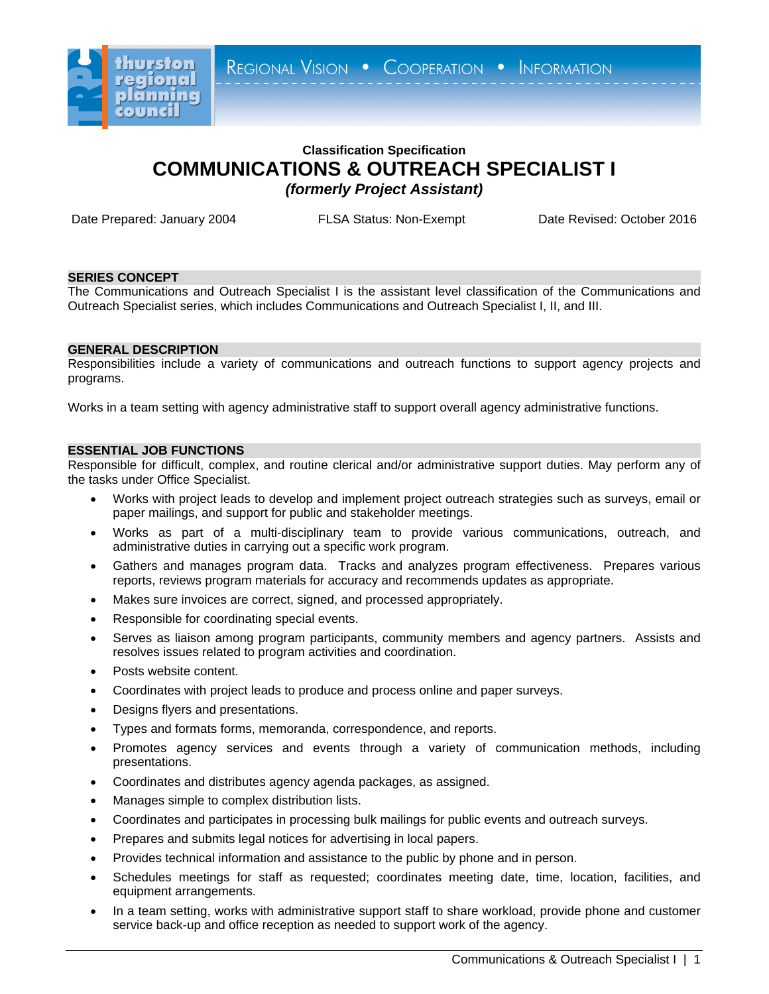

# **Classification Specification COMMUNICATIONS & OUTREACH SPECIALIST I** *(formerly Project Assistant)*

Date Prepared: January 2004 FLSA Status: Non-Exempt Date Revised: October 2016

## **SERIES CONCEPT**

The Communications and Outreach Specialist I is the assistant level classification of the Communications and Outreach Specialist series, which includes Communications and Outreach Specialist I, II, and III.

## **GENERAL DESCRIPTION**

Responsibilities include a variety of communications and outreach functions to support agency projects and programs.

Works in a team setting with agency administrative staff to support overall agency administrative functions.

#### **ESSENTIAL JOB FUNCTIONS**

Responsible for difficult, complex, and routine clerical and/or administrative support duties. May perform any of the tasks under Office Specialist.

- Works with project leads to develop and implement project outreach strategies such as surveys, email or paper mailings, and support for public and stakeholder meetings.
- Works as part of a multi-disciplinary team to provide various communications, outreach, and administrative duties in carrying out a specific work program.
- Gathers and manages program data. Tracks and analyzes program effectiveness. Prepares various reports, reviews program materials for accuracy and recommends updates as appropriate.
- Makes sure invoices are correct, signed, and processed appropriately.
- Responsible for coordinating special events.
- Serves as liaison among program participants, community members and agency partners. Assists and resolves issues related to program activities and coordination.
- Posts website content.
- Coordinates with project leads to produce and process online and paper surveys.
- Designs flyers and presentations.
- Types and formats forms, memoranda, correspondence, and reports.
- Promotes agency services and events through a variety of communication methods, including presentations.
- Coordinates and distributes agency agenda packages, as assigned.
- Manages simple to complex distribution lists.
- Coordinates and participates in processing bulk mailings for public events and outreach surveys.
- Prepares and submits legal notices for advertising in local papers.
- Provides technical information and assistance to the public by phone and in person.
- Schedules meetings for staff as requested; coordinates meeting date, time, location, facilities, and equipment arrangements.
- In a team setting, works with administrative support staff to share workload, provide phone and customer service back-up and office reception as needed to support work of the agency.